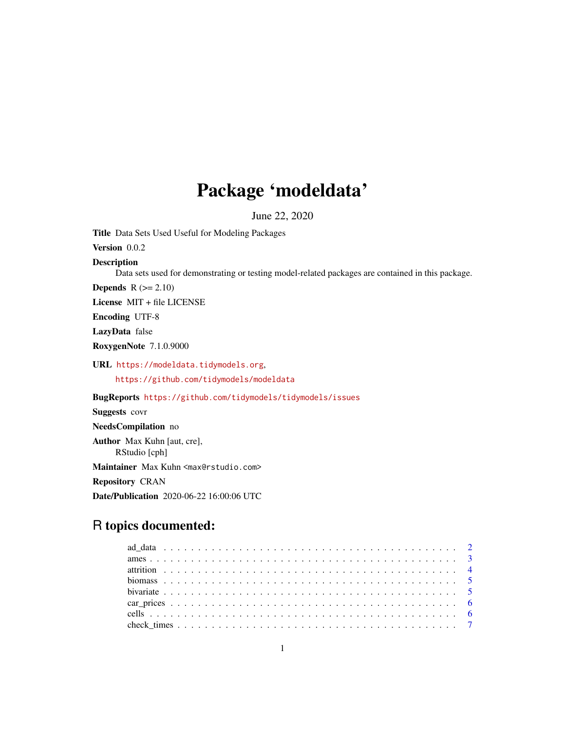## Package 'modeldata'

June 22, 2020

Title Data Sets Used Useful for Modeling Packages Version 0.0.2 Description Data sets used for demonstrating or testing model-related packages are contained in this package. **Depends**  $R (= 2.10)$ License MIT + file LICENSE Encoding UTF-8 LazyData false RoxygenNote 7.1.0.9000 URL <https://modeldata.tidymodels.org>, <https://github.com/tidymodels/modeldata> BugReports <https://github.com/tidymodels/tidymodels/issues> Suggests covr NeedsCompilation no Author Max Kuhn [aut, cre], RStudio [cph]

Maintainer Max Kuhn <max@rstudio.com>

Repository CRAN

Date/Publication 2020-06-22 16:00:06 UTC

## R topics documented: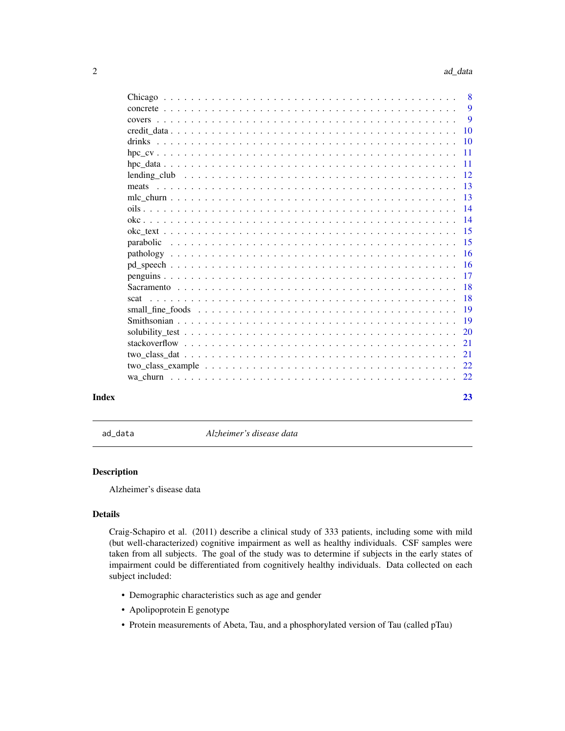<span id="page-1-0"></span>

|                                                                                                              | 23              |
|--------------------------------------------------------------------------------------------------------------|-----------------|
|                                                                                                              |                 |
|                                                                                                              |                 |
| $two\_class\_dat \ldots \ldots \ldots \ldots \ldots \ldots \ldots \ldots \ldots \ldots \ldots \ldots \ldots$ | 21              |
|                                                                                                              | 21              |
|                                                                                                              |                 |
|                                                                                                              |                 |
| scat                                                                                                         | -18             |
|                                                                                                              |                 |
|                                                                                                              |                 |
|                                                                                                              |                 |
|                                                                                                              |                 |
|                                                                                                              | $-15$           |
|                                                                                                              |                 |
|                                                                                                              | - 14            |
|                                                                                                              |                 |
|                                                                                                              |                 |
|                                                                                                              | -13             |
|                                                                                                              | - 12            |
|                                                                                                              | $-11$           |
|                                                                                                              | $\overline{11}$ |
|                                                                                                              | $\overline{10}$ |
|                                                                                                              | 10              |
|                                                                                                              | 9               |
|                                                                                                              | 9               |
|                                                                                                              |                 |

ad\_data *Alzheimer's disease data*

## Description

Alzheimer's disease data

## Details

Craig-Schapiro et al. (2011) describe a clinical study of 333 patients, including some with mild (but well-characterized) cognitive impairment as well as healthy individuals. CSF samples were taken from all subjects. The goal of the study was to determine if subjects in the early states of impairment could be differentiated from cognitively healthy individuals. Data collected on each subject included:

- Demographic characteristics such as age and gender
- Apolipoprotein E genotype
- Protein measurements of Abeta, Tau, and a phosphorylated version of Tau (called pTau)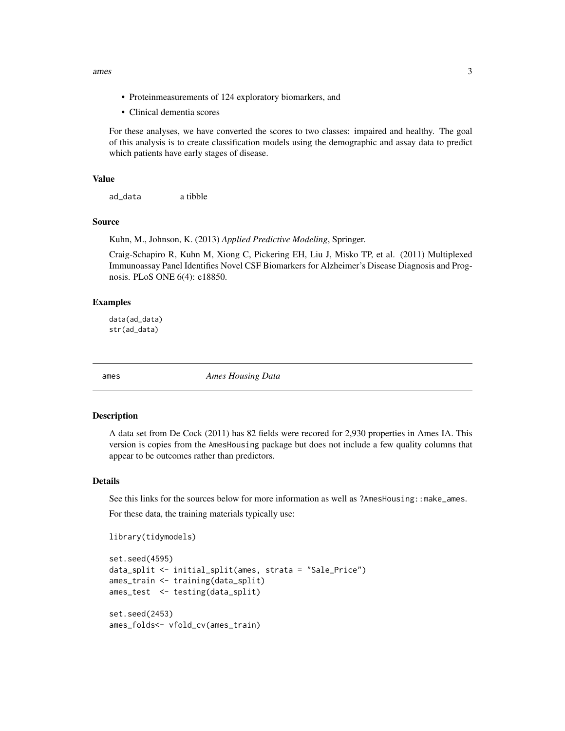<span id="page-2-0"></span>ames 3

- Proteinmeasurements of 124 exploratory biomarkers, and
- Clinical dementia scores

For these analyses, we have converted the scores to two classes: impaired and healthy. The goal of this analysis is to create classification models using the demographic and assay data to predict which patients have early stages of disease.

## Value

ad\_data a tibble

#### Source

Kuhn, M., Johnson, K. (2013) *Applied Predictive Modeling*, Springer.

Craig-Schapiro R, Kuhn M, Xiong C, Pickering EH, Liu J, Misko TP, et al. (2011) Multiplexed Immunoassay Panel Identifies Novel CSF Biomarkers for Alzheimer's Disease Diagnosis and Prognosis. PLoS ONE 6(4): e18850.

#### Examples

data(ad\_data) str(ad\_data)

ames *Ames Housing Data*

## Description

A data set from De Cock (2011) has 82 fields were recored for 2,930 properties in Ames IA. This version is copies from the AmesHousing package but does not include a few quality columns that appear to be outcomes rather than predictors.

#### Details

See this links for the sources below for more information as well as ?AmesHousing::make\_ames.

For these data, the training materials typically use:

```
library(tidymodels)
```

```
set.seed(4595)
data_split <- initial_split(ames, strata = "Sale_Price")
ames_train <- training(data_split)
ames_test <- testing(data_split)
set.seed(2453)
ames_folds<- vfold_cv(ames_train)
```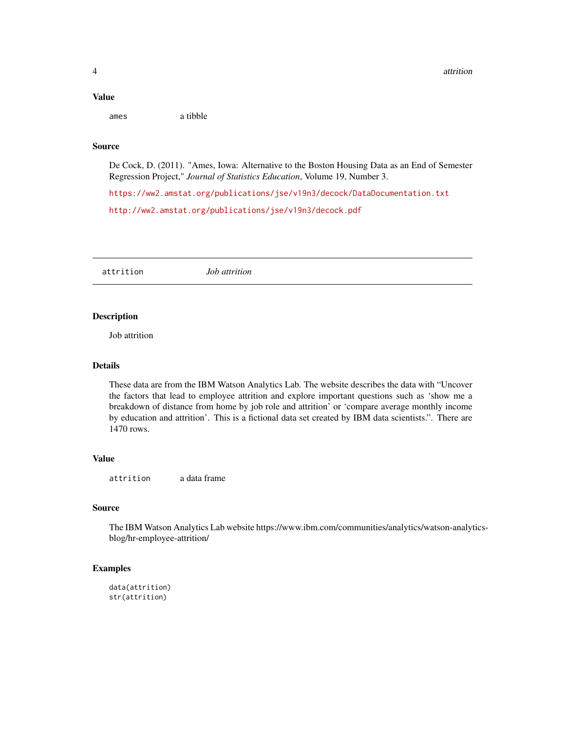#### <span id="page-3-0"></span>Value

ames a tibble

## Source

De Cock, D. (2011). "Ames, Iowa: Alternative to the Boston Housing Data as an End of Semester Regression Project," *Journal of Statistics Education*, Volume 19, Number 3.

<https://ww2.amstat.org/publications/jse/v19n3/decock/DataDocumentation.txt> <http://ww2.amstat.org/publications/jse/v19n3/decock.pdf>

attrition *Job attrition*

## Description

Job attrition

#### Details

These data are from the IBM Watson Analytics Lab. The website describes the data with "Uncover the factors that lead to employee attrition and explore important questions such as 'show me a breakdown of distance from home by job role and attrition' or 'compare average monthly income by education and attrition'. This is a fictional data set created by IBM data scientists.". There are 1470 rows.

#### Value

attrition a data frame

## Source

The IBM Watson Analytics Lab website https://www.ibm.com/communities/analytics/watson-analyticsblog/hr-employee-attrition/

## Examples

```
data(attrition)
str(attrition)
```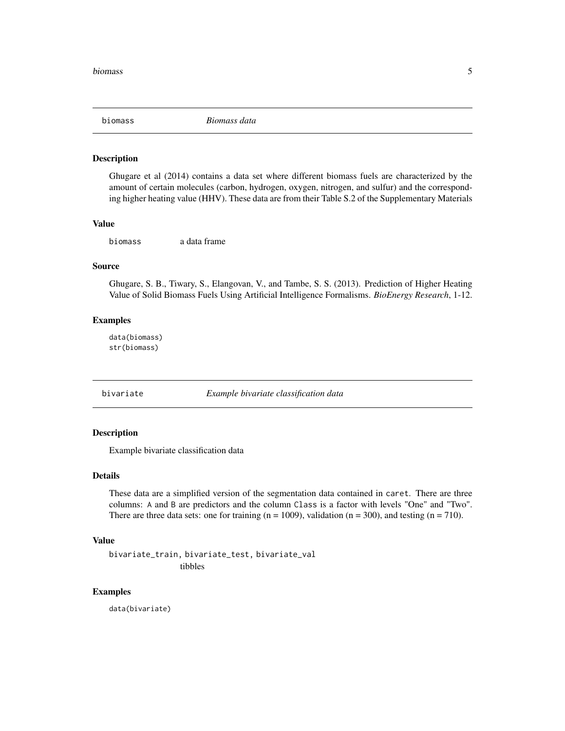<span id="page-4-0"></span>

Ghugare et al (2014) contains a data set where different biomass fuels are characterized by the amount of certain molecules (carbon, hydrogen, oxygen, nitrogen, and sulfur) and the corresponding higher heating value (HHV). These data are from their Table S.2 of the Supplementary Materials

## Value

biomass a data frame

## Source

Ghugare, S. B., Tiwary, S., Elangovan, V., and Tambe, S. S. (2013). Prediction of Higher Heating Value of Solid Biomass Fuels Using Artificial Intelligence Formalisms. *BioEnergy Research*, 1-12.

## Examples

data(biomass) str(biomass)

bivariate *Example bivariate classification data*

## Description

Example bivariate classification data

## Details

These data are a simplified version of the segmentation data contained in caret. There are three columns: A and B are predictors and the column Class is a factor with levels "One" and "Two". There are three data sets: one for training  $(n = 1009)$ , validation  $(n = 300)$ , and testing  $(n = 710)$ .

#### Value

bivariate\_train, bivariate\_test, bivariate\_val tibbles

#### Examples

data(bivariate)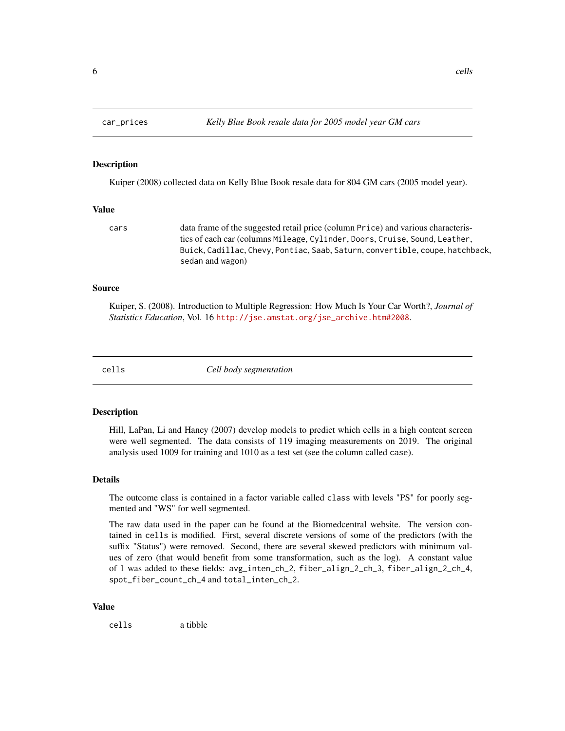<span id="page-5-0"></span>

Kuiper (2008) collected data on Kelly Blue Book resale data for 804 GM cars (2005 model year).

#### Value

cars data frame of the suggested retail price (column Price) and various characteristics of each car (columns Mileage, Cylinder, Doors, Cruise, Sound, Leather, Buick, Cadillac, Chevy, Pontiac, Saab, Saturn, convertible, coupe, hatchback, sedan and wagon)

## Source

Kuiper, S. (2008). Introduction to Multiple Regression: How Much Is Your Car Worth?, *Journal of Statistics Education*, Vol. 16 [http://jse.amstat.org/jse\\_archive.htm#2008](http://jse.amstat.org/jse_archive.htm#2008).

cells *Cell body segmentation*

#### Description

Hill, LaPan, Li and Haney (2007) develop models to predict which cells in a high content screen were well segmented. The data consists of 119 imaging measurements on 2019. The original analysis used 1009 for training and 1010 as a test set (see the column called case).

#### Details

The outcome class is contained in a factor variable called class with levels "PS" for poorly segmented and "WS" for well segmented.

The raw data used in the paper can be found at the Biomedcentral website. The version contained in cells is modified. First, several discrete versions of some of the predictors (with the suffix "Status") were removed. Second, there are several skewed predictors with minimum values of zero (that would benefit from some transformation, such as the log). A constant value of 1 was added to these fields: avg\_inten\_ch\_2, fiber\_align\_2\_ch\_3, fiber\_align\_2\_ch\_4, spot\_fiber\_count\_ch\_4 and total\_inten\_ch\_2.

#### Value

cells a tibble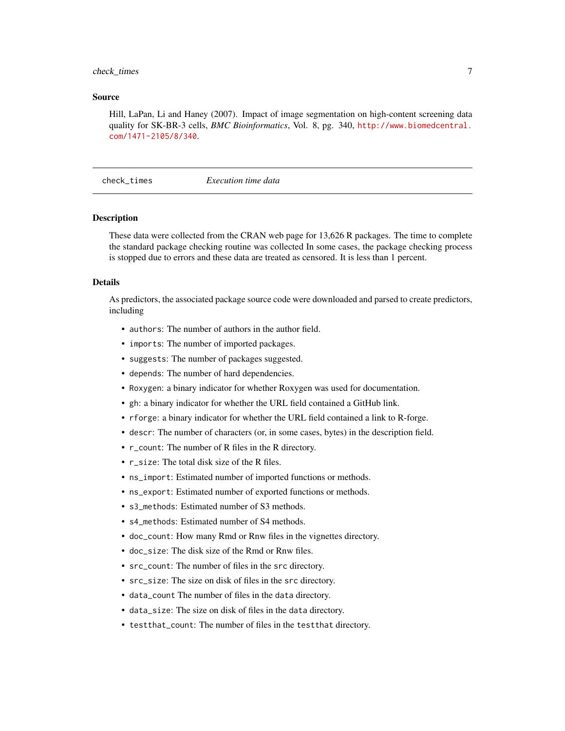## <span id="page-6-0"></span>check\_times 7

### Source

Hill, LaPan, Li and Haney (2007). Impact of image segmentation on high-content screening data quality for SK-BR-3 cells, *BMC Bioinformatics*, Vol. 8, pg. 340, [http://www.biomedcentral.](http://www.biomedcentral.com/1471-2105/8/340) [com/1471-2105/8/340](http://www.biomedcentral.com/1471-2105/8/340).

check\_times *Execution time data*

## Description

These data were collected from the CRAN web page for 13,626 R packages. The time to complete the standard package checking routine was collected In some cases, the package checking process is stopped due to errors and these data are treated as censored. It is less than 1 percent.

#### Details

As predictors, the associated package source code were downloaded and parsed to create predictors, including

- authors: The number of authors in the author field.
- imports: The number of imported packages.
- suggests: The number of packages suggested.
- depends: The number of hard dependencies.
- Roxygen: a binary indicator for whether Roxygen was used for documentation.
- gh: a binary indicator for whether the URL field contained a GitHub link.
- rforge: a binary indicator for whether the URL field contained a link to R-forge.
- descr: The number of characters (or, in some cases, bytes) in the description field.
- r\_count: The number of R files in the R directory.
- r\_size: The total disk size of the R files.
- ns\_import: Estimated number of imported functions or methods.
- ns\_export: Estimated number of exported functions or methods.
- s3\_methods: Estimated number of S3 methods.
- s4\_methods: Estimated number of S4 methods.
- doc\_count: How many Rmd or Rnw files in the vignettes directory.
- doc\_size: The disk size of the Rmd or Rnw files.
- src\_count: The number of files in the src directory.
- src\_size: The size on disk of files in the src directory.
- data\_count The number of files in the data directory.
- data\_size: The size on disk of files in the data directory.
- testthat\_count: The number of files in the testthat directory.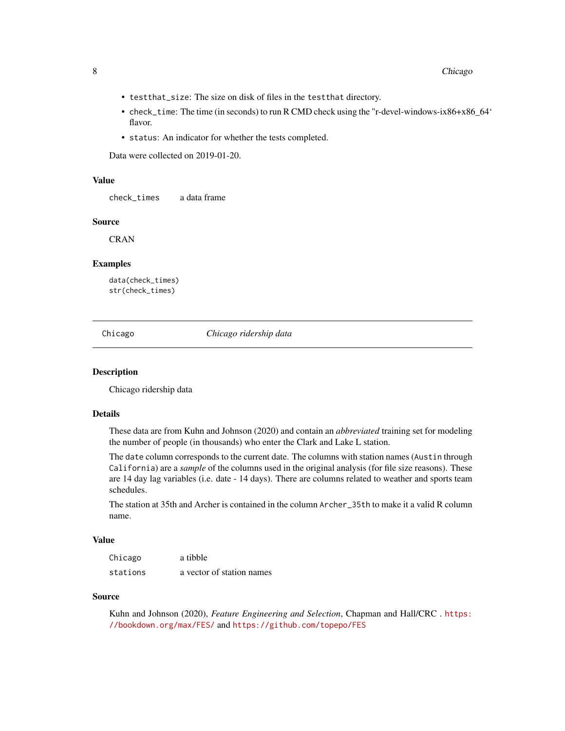- <span id="page-7-0"></span>• testthat\_size: The size on disk of files in the testthat directory.
- check\_time: The time (in seconds) to run R CMD check using the "r-devel-windows-ix86+x86\_64' flavor.
- status: An indicator for whether the tests completed.

Data were collected on 2019-01-20.

#### Value

check\_times a data frame

#### Source

**CRAN** 

## Examples

data(check\_times) str(check\_times)

Chicago *Chicago ridership data*

#### Description

Chicago ridership data

#### Details

These data are from Kuhn and Johnson (2020) and contain an *abbreviated* training set for modeling the number of people (in thousands) who enter the Clark and Lake L station.

The date column corresponds to the current date. The columns with station names (Austin through California) are a *sample* of the columns used in the original analysis (for file size reasons). These are 14 day lag variables (i.e. date - 14 days). There are columns related to weather and sports team schedules.

The station at 35th and Archer is contained in the column Archer\_35th to make it a valid R column name.

#### Value

| Chicago  | a tibble                  |
|----------|---------------------------|
| stations | a vector of station names |

#### Source

Kuhn and Johnson (2020), *Feature Engineering and Selection*, Chapman and Hall/CRC . [https:](https://bookdown.org/max/FES/) [//bookdown.org/max/FES/](https://bookdown.org/max/FES/) and <https://github.com/topepo/FES>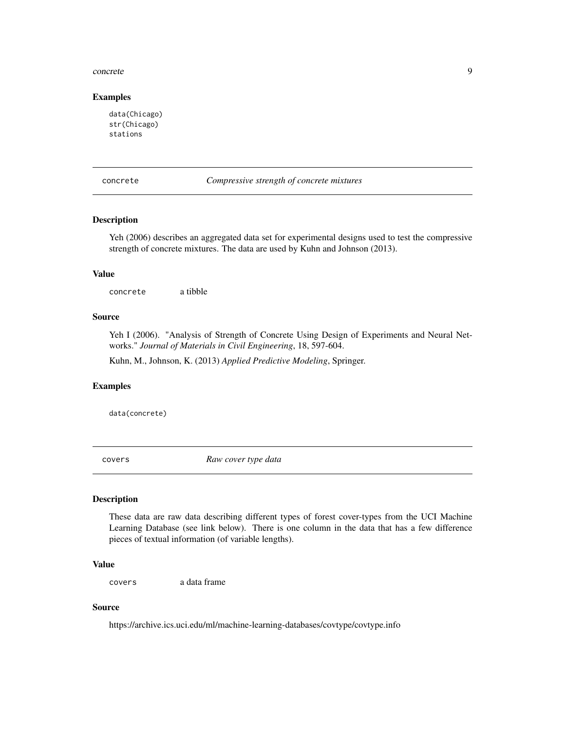#### <span id="page-8-0"></span>concrete 9

### Examples

```
data(Chicago)
str(Chicago)
stations
```
concrete *Compressive strength of concrete mixtures*

## Description

Yeh (2006) describes an aggregated data set for experimental designs used to test the compressive strength of concrete mixtures. The data are used by Kuhn and Johnson (2013).

### Value

concrete a tibble

## Source

Yeh I (2006). "Analysis of Strength of Concrete Using Design of Experiments and Neural Networks." *Journal of Materials in Civil Engineering*, 18, 597-604.

Kuhn, M., Johnson, K. (2013) *Applied Predictive Modeling*, Springer.

## Examples

data(concrete)

covers *Raw cover type data*

#### Description

These data are raw data describing different types of forest cover-types from the UCI Machine Learning Database (see link below). There is one column in the data that has a few difference pieces of textual information (of variable lengths).

## Value

covers a data frame

#### Source

https://archive.ics.uci.edu/ml/machine-learning-databases/covtype/covtype.info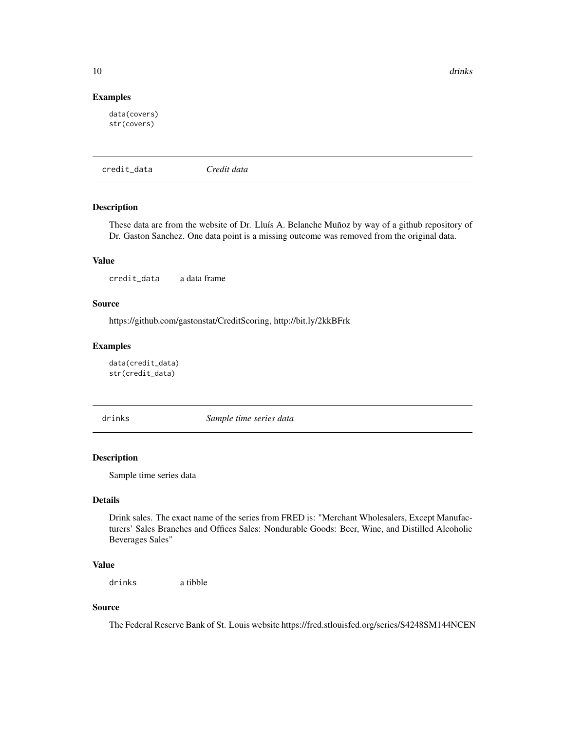<span id="page-9-0"></span>10 drinks

## Examples

data(covers) str(covers)

credit\_data *Credit data*

## Description

These data are from the website of Dr. Lluís A. Belanche Muñoz by way of a github repository of Dr. Gaston Sanchez. One data point is a missing outcome was removed from the original data.

## Value

credit\_data a data frame

#### Source

https://github.com/gastonstat/CreditScoring, http://bit.ly/2kkBFrk

## Examples

data(credit\_data) str(credit\_data)

drinks *Sample time series data*

## Description

Sample time series data

## Details

Drink sales. The exact name of the series from FRED is: "Merchant Wholesalers, Except Manufacturers' Sales Branches and Offices Sales: Nondurable Goods: Beer, Wine, and Distilled Alcoholic Beverages Sales"

## Value

drinks a tibble

## Source

The Federal Reserve Bank of St. Louis website https://fred.stlouisfed.org/series/S4248SM144NCEN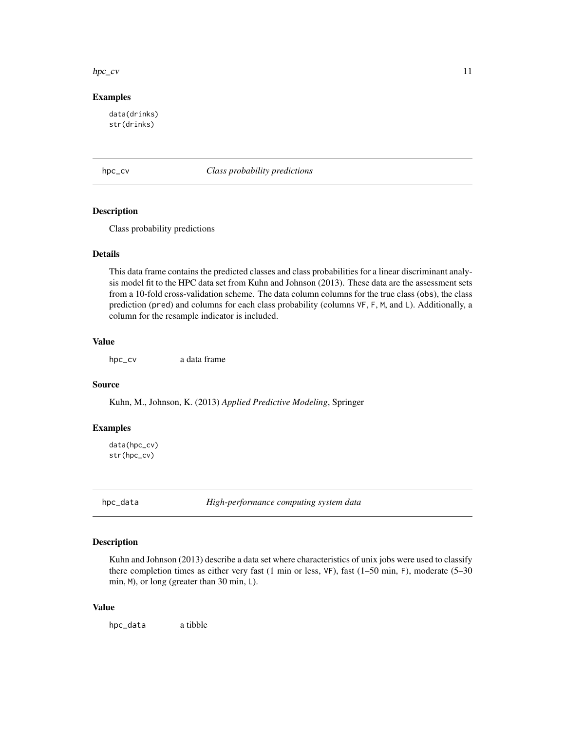#### <span id="page-10-0"></span> $hpc\_cv$  11

### Examples

data(drinks) str(drinks)

hpc\_cv *Class probability predictions*

### Description

Class probability predictions

## Details

This data frame contains the predicted classes and class probabilities for a linear discriminant analysis model fit to the HPC data set from Kuhn and Johnson (2013). These data are the assessment sets from a 10-fold cross-validation scheme. The data column columns for the true class (obs), the class prediction (pred) and columns for each class probability (columns VF, F, M, and L). Additionally, a column for the resample indicator is included.

## Value

hpc\_cv a data frame

## Source

Kuhn, M., Johnson, K. (2013) *Applied Predictive Modeling*, Springer

#### Examples

data(hpc\_cv) str(hpc\_cv)

hpc\_data *High-performance computing system data*

#### Description

Kuhn and Johnson (2013) describe a data set where characteristics of unix jobs were used to classify there completion times as either very fast (1 min or less, VF), fast (1–50 min, F), moderate (5–30 min, M), or long (greater than 30 min, L).

## Value

hpc\_data a tibble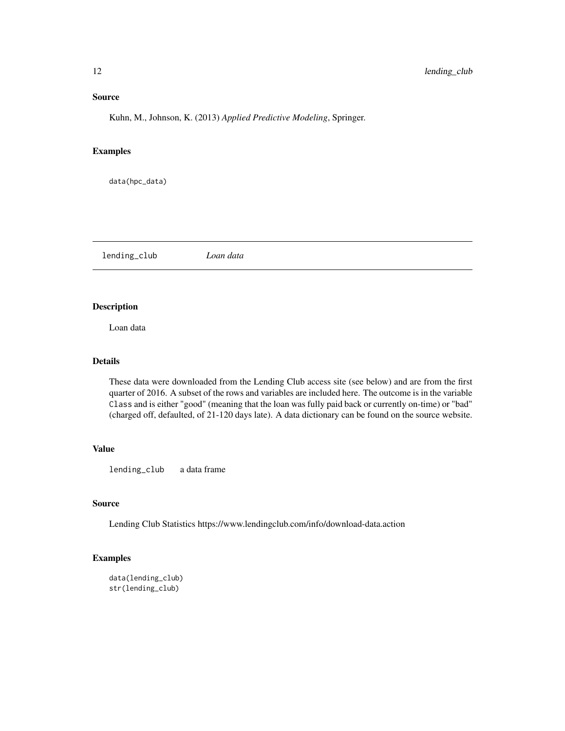## <span id="page-11-0"></span>Source

Kuhn, M., Johnson, K. (2013) *Applied Predictive Modeling*, Springer.

## Examples

data(hpc\_data)

lending\_club *Loan data*

## Description

Loan data

## Details

These data were downloaded from the Lending Club access site (see below) and are from the first quarter of 2016. A subset of the rows and variables are included here. The outcome is in the variable Class and is either "good" (meaning that the loan was fully paid back or currently on-time) or "bad" (charged off, defaulted, of 21-120 days late). A data dictionary can be found on the source website.

## Value

lending\_club a data frame

## Source

Lending Club Statistics https://www.lendingclub.com/info/download-data.action

## Examples

```
data(lending_club)
str(lending_club)
```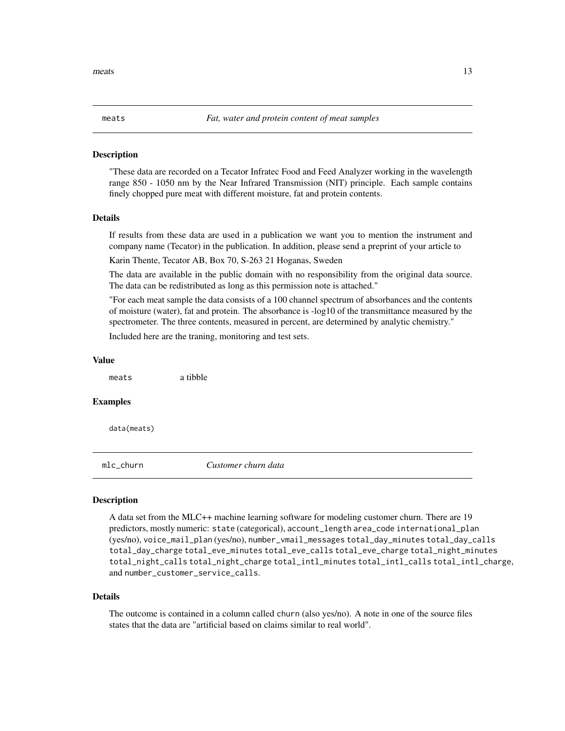"These data are recorded on a Tecator Infratec Food and Feed Analyzer working in the wavelength range 850 - 1050 nm by the Near Infrared Transmission (NIT) principle. Each sample contains finely chopped pure meat with different moisture, fat and protein contents.

## Details

If results from these data are used in a publication we want you to mention the instrument and company name (Tecator) in the publication. In addition, please send a preprint of your article to

Karin Thente, Tecator AB, Box 70, S-263 21 Hoganas, Sweden

The data are available in the public domain with no responsibility from the original data source. The data can be redistributed as long as this permission note is attached."

"For each meat sample the data consists of a 100 channel spectrum of absorbances and the contents of moisture (water), fat and protein. The absorbance is -log10 of the transmittance measured by the spectrometer. The three contents, measured in percent, are determined by analytic chemistry."

Included here are the traning, monitoring and test sets.

#### Value

meats a tibble

#### Examples

data(meats)

mlc\_churn *Customer churn data*

#### **Description**

A data set from the MLC++ machine learning software for modeling customer churn. There are 19 predictors, mostly numeric: state (categorical), account\_length area\_code international\_plan (yes/no), voice\_mail\_plan (yes/no), number\_vmail\_messages total\_day\_minutes total\_day\_calls total\_day\_charge total\_eve\_minutes total\_eve\_calls total\_eve\_charge total\_night\_minutes total\_night\_calls total\_night\_charge total\_intl\_minutes total\_intl\_calls total\_intl\_charge, and number\_customer\_service\_calls.

#### Details

The outcome is contained in a column called churn (also yes/no). A note in one of the source files states that the data are "artificial based on claims similar to real world".

<span id="page-12-0"></span>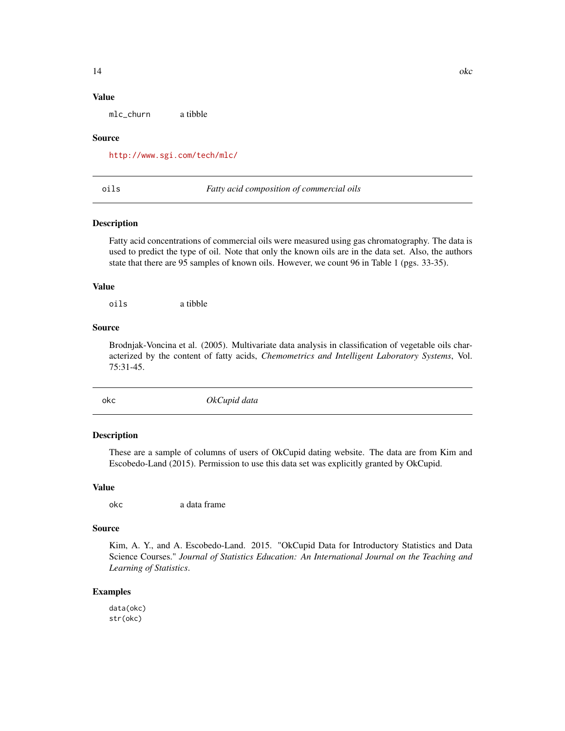## <span id="page-13-0"></span>Value

mlc\_churn a tibble

#### Source

<http://www.sgi.com/tech/mlc/>

#### oils *Fatty acid composition of commercial oils*

#### Description

Fatty acid concentrations of commercial oils were measured using gas chromatography. The data is used to predict the type of oil. Note that only the known oils are in the data set. Also, the authors state that there are 95 samples of known oils. However, we count 96 in Table 1 (pgs. 33-35).

#### Value

oils a tibble

#### Source

Brodnjak-Voncina et al. (2005). Multivariate data analysis in classification of vegetable oils characterized by the content of fatty acids, *Chemometrics and Intelligent Laboratory Systems*, Vol. 75:31-45.

okc *OkCupid data*

## Description

These are a sample of columns of users of OkCupid dating website. The data are from Kim and Escobedo-Land (2015). Permission to use this data set was explicitly granted by OkCupid.

#### Value

okc a data frame

#### Source

Kim, A. Y., and A. Escobedo-Land. 2015. "OkCupid Data for Introductory Statistics and Data Science Courses." *Journal of Statistics Education: An International Journal on the Teaching and Learning of Statistics*.

## Examples

data(okc) str(okc)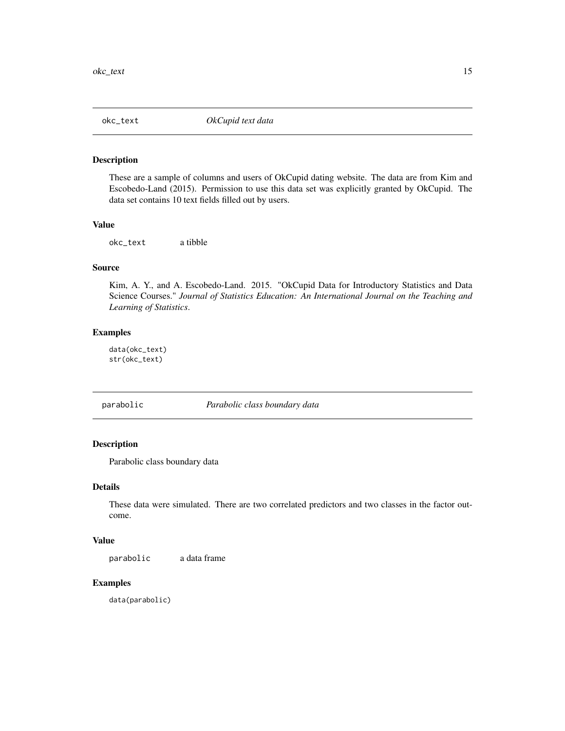<span id="page-14-0"></span>

These are a sample of columns and users of OkCupid dating website. The data are from Kim and Escobedo-Land (2015). Permission to use this data set was explicitly granted by OkCupid. The data set contains 10 text fields filled out by users.

## Value

okc\_text a tibble

## Source

Kim, A. Y., and A. Escobedo-Land. 2015. "OkCupid Data for Introductory Statistics and Data Science Courses." *Journal of Statistics Education: An International Journal on the Teaching and Learning of Statistics*.

#### Examples

data(okc\_text) str(okc\_text)

parabolic *Parabolic class boundary data*

## Description

Parabolic class boundary data

## Details

These data were simulated. There are two correlated predictors and two classes in the factor outcome.

#### Value

parabolic a data frame

## Examples

data(parabolic)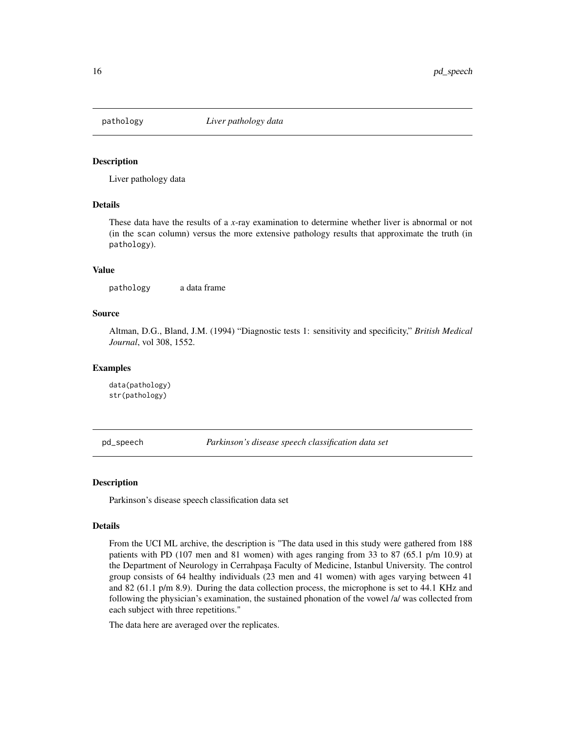<span id="page-15-0"></span>

Liver pathology data

#### Details

These data have the results of a *x*-ray examination to determine whether liver is abnormal or not (in the scan column) versus the more extensive pathology results that approximate the truth (in pathology).

#### Value

pathology a data frame

### Source

Altman, D.G., Bland, J.M. (1994) "Diagnostic tests 1: sensitivity and specificity," *British Medical Journal*, vol 308, 1552.

#### Examples

data(pathology) str(pathology)

pd\_speech *Parkinson's disease speech classification data set*

#### Description

Parkinson's disease speech classification data set

#### Details

From the UCI ML archive, the description is "The data used in this study were gathered from 188 patients with PD (107 men and 81 women) with ages ranging from 33 to 87 (65.1 p/m 10.9) at the Department of Neurology in Cerrahpaşa Faculty of Medicine, Istanbul University. The control group consists of 64 healthy individuals (23 men and 41 women) with ages varying between 41 and 82 (61.1 p/m 8.9). During the data collection process, the microphone is set to 44.1 KHz and following the physician's examination, the sustained phonation of the vowel /a/ was collected from each subject with three repetitions."

The data here are averaged over the replicates.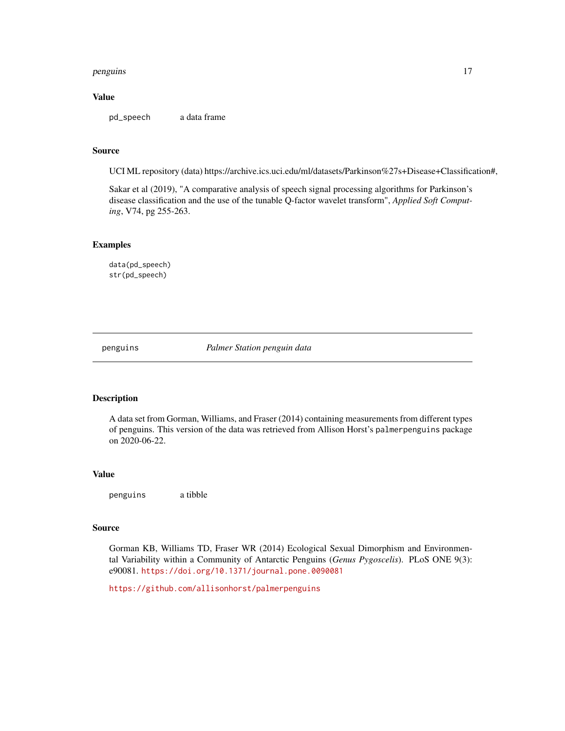#### <span id="page-16-0"></span>penguins and the contract of the contract of the contract of the contract of the contract of the contract of the contract of the contract of the contract of the contract of the contract of the contract of the contract of t

## Value

pd\_speech a data frame

#### Source

UCI ML repository (data) https://archive.ics.uci.edu/ml/datasets/Parkinson%27s+Disease+Classification#,

Sakar et al (2019), "A comparative analysis of speech signal processing algorithms for Parkinson's disease classification and the use of the tunable Q-factor wavelet transform", *Applied Soft Computing*, V74, pg 255-263.

## Examples

data(pd\_speech) str(pd\_speech)

penguins *Palmer Station penguin data*

#### Description

A data set from Gorman, Williams, and Fraser (2014) containing measurements from different types of penguins. This version of the data was retrieved from Allison Horst's palmerpenguins package on 2020-06-22.

#### Value

penguins a tibble

#### Source

Gorman KB, Williams TD, Fraser WR (2014) Ecological Sexual Dimorphism and Environmental Variability within a Community of Antarctic Penguins (*Genus Pygoscelis*). PLoS ONE 9(3): e90081. <https://doi.org/10.1371/journal.pone.0090081>

<https://github.com/allisonhorst/palmerpenguins>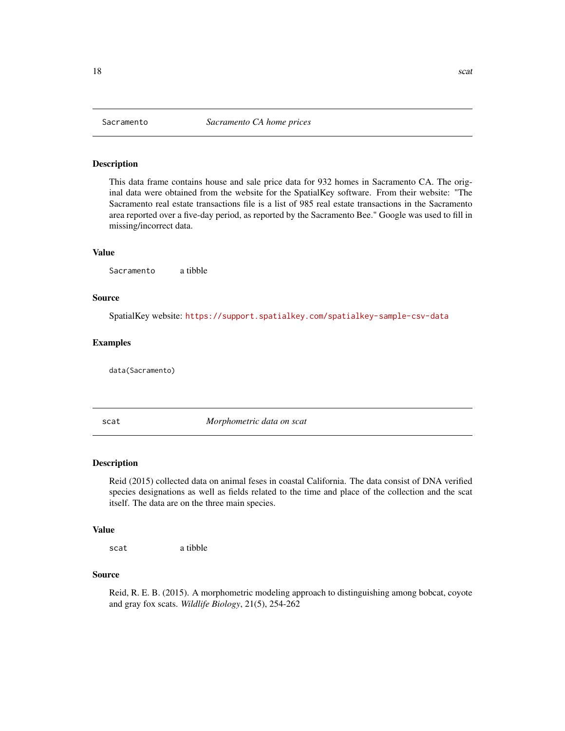<span id="page-17-0"></span>This data frame contains house and sale price data for 932 homes in Sacramento CA. The original data were obtained from the website for the SpatialKey software. From their website: "The Sacramento real estate transactions file is a list of 985 real estate transactions in the Sacramento area reported over a five-day period, as reported by the Sacramento Bee." Google was used to fill in missing/incorrect data.

#### Value

Sacramento a tibble

#### Source

SpatialKey website: <https://support.spatialkey.com/spatialkey-sample-csv-data>

### Examples

data(Sacramento)

scat *Morphometric data on scat*

#### Description

Reid (2015) collected data on animal feses in coastal California. The data consist of DNA verified species designations as well as fields related to the time and place of the collection and the scat itself. The data are on the three main species.

#### Value

scat a tibble

#### Source

Reid, R. E. B. (2015). A morphometric modeling approach to distinguishing among bobcat, coyote and gray fox scats. *Wildlife Biology*, 21(5), 254-262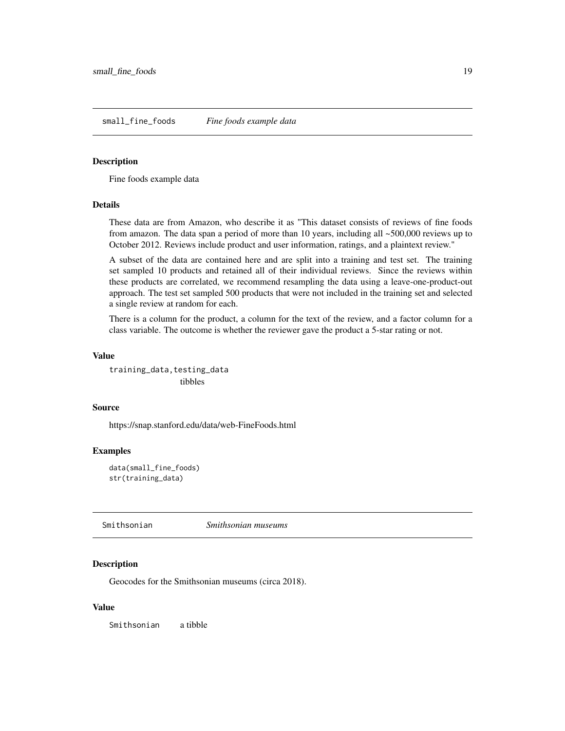<span id="page-18-0"></span>Fine foods example data

#### Details

These data are from Amazon, who describe it as "This dataset consists of reviews of fine foods from amazon. The data span a period of more than 10 years, including all ~500,000 reviews up to October 2012. Reviews include product and user information, ratings, and a plaintext review."

A subset of the data are contained here and are split into a training and test set. The training set sampled 10 products and retained all of their individual reviews. Since the reviews within these products are correlated, we recommend resampling the data using a leave-one-product-out approach. The test set sampled 500 products that were not included in the training set and selected a single review at random for each.

There is a column for the product, a column for the text of the review, and a factor column for a class variable. The outcome is whether the reviewer gave the product a 5-star rating or not.

#### Value

training\_data, testing\_data tibbles

#### Source

https://snap.stanford.edu/data/web-FineFoods.html

## Examples

data(small\_fine\_foods) str(training\_data)

Smithsonian *Smithsonian museums*

## **Description**

Geocodes for the Smithsonian museums (circa 2018).

#### Value

Smithsonian a tibble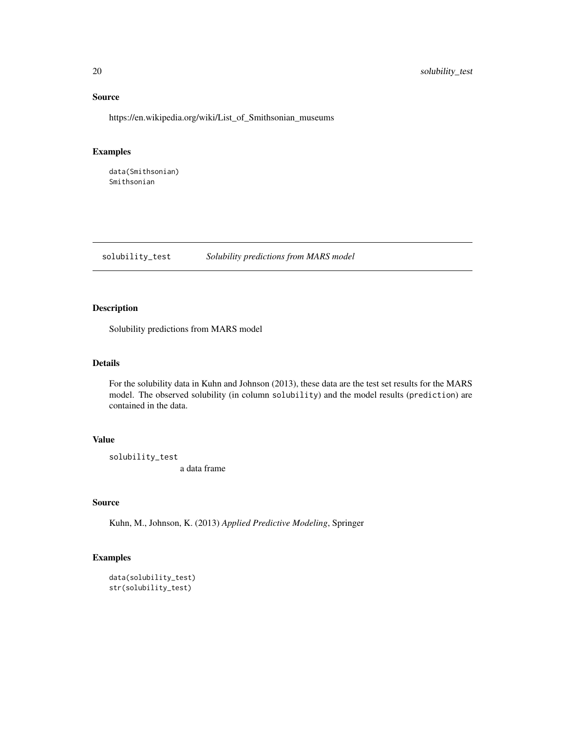## Source

https://en.wikipedia.org/wiki/List\_of\_Smithsonian\_museums

## Examples

data(Smithsonian) Smithsonian

solubility\_test *Solubility predictions from MARS model*

## Description

Solubility predictions from MARS model

#### Details

For the solubility data in Kuhn and Johnson (2013), these data are the test set results for the MARS model. The observed solubility (in column solubility) and the model results (prediction) are contained in the data.

## Value

solubility\_test a data frame

## Source

Kuhn, M., Johnson, K. (2013) *Applied Predictive Modeling*, Springer

## Examples

```
data(solubility_test)
str(solubility_test)
```
<span id="page-19-0"></span>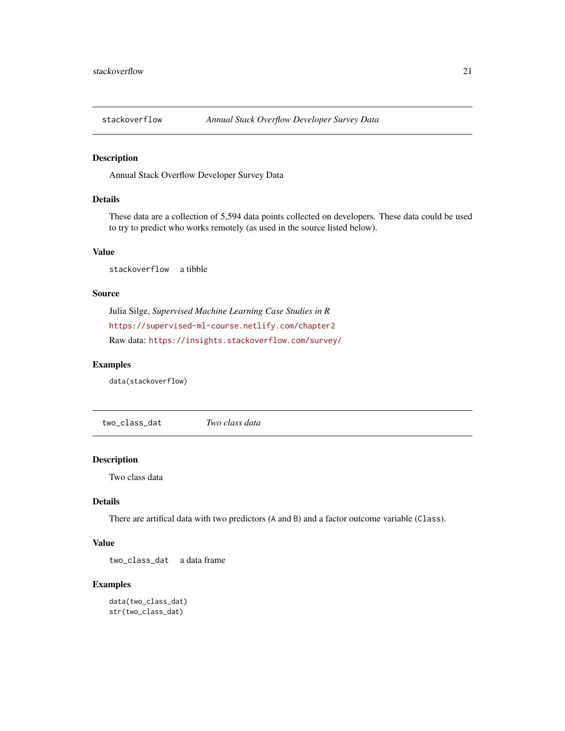<span id="page-20-0"></span>

Annual Stack Overflow Developer Survey Data

## Details

These data are a collection of 5,594 data points collected on developers. These data could be used to try to predict who works remotely (as used in the source listed below).

## Value

```
stackoverflow a tibble
```
#### Source

Julia Silge, *Supervised Machine Learning Case Studies in R* <https://supervised-ml-course.netlify.com/chapter2> Raw data: <https://insights.stackoverflow.com/survey/>

## Examples

data(stackoverflow)

two\_class\_dat *Two class data*

#### Description

Two class data

## Details

There are artifical data with two predictors (A and B) and a factor outcome variable (Class).

## Value

two\_class\_dat a data frame

## Examples

```
data(two_class_dat)
str(two_class_dat)
```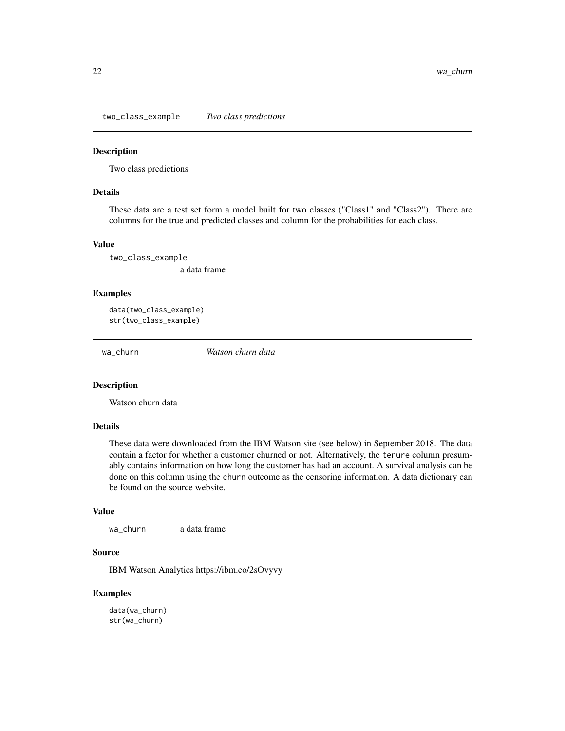<span id="page-21-0"></span>two\_class\_example *Two class predictions*

## Description

Two class predictions

## Details

These data are a test set form a model built for two classes ("Class1" and "Class2"). There are columns for the true and predicted classes and column for the probabilities for each class.

## Value

two\_class\_example a data frame

#### Examples

data(two\_class\_example) str(two\_class\_example)

wa\_churn *Watson churn data*

## Description

Watson churn data

#### Details

These data were downloaded from the IBM Watson site (see below) in September 2018. The data contain a factor for whether a customer churned or not. Alternatively, the tenure column presumably contains information on how long the customer has had an account. A survival analysis can be done on this column using the churn outcome as the censoring information. A data dictionary can be found on the source website.

#### Value

wa\_churn a data frame

#### Source

IBM Watson Analytics https://ibm.co/2sOvyvy

#### Examples

data(wa\_churn) str(wa\_churn)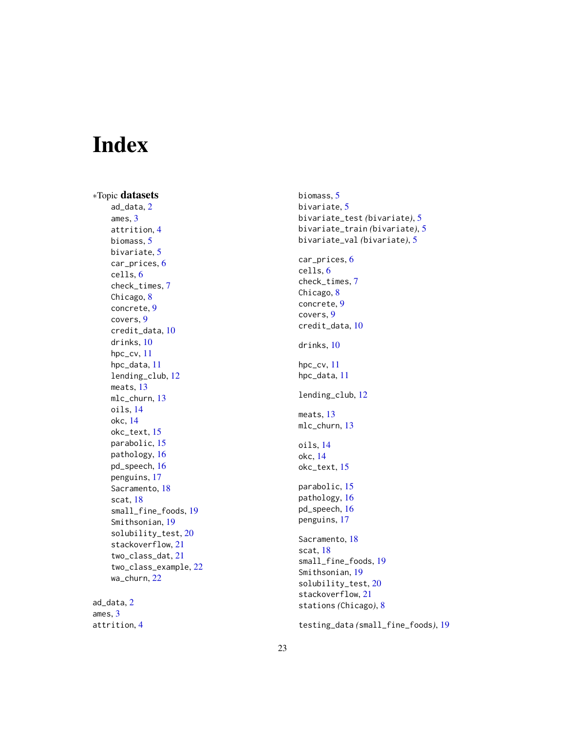# <span id="page-22-0"></span>Index

∗Topic datasets ad\_data , [2](#page-1-0) ames , [3](#page-2-0) attrition , [4](#page-3-0) biomass , [5](#page-4-0) bivariate, [5](#page-4-0) car\_prices , [6](#page-5-0) cells , [6](#page-5-0) check\_times , [7](#page-6-0) Chicago, [8](#page-7-0) concrete , [9](#page-8-0) covers , [9](#page-8-0) credit\_data , [10](#page-9-0) drinks , [10](#page-9-0) hpc\_cv , [11](#page-10-0) hpc\_data , [11](#page-10-0) lending\_club , [12](#page-11-0) meats, [13](#page-12-0) mlc\_churn , [13](#page-12-0) oils , [14](#page-13-0) okc , [14](#page-13-0) okc\_text , [15](#page-14-0) parabolic , [15](#page-14-0) pathology , [16](#page-15-0) pd\_speech , [16](#page-15-0) penguins , [17](#page-16-0) Sacramento, [18](#page-17-0) scat , [18](#page-17-0) small\_fine\_foods , [19](#page-18-0) Smithsonian , [19](#page-18-0) solubility\_test , [20](#page-19-0) stackoverflow , [21](#page-20-0) two\_class\_dat , [21](#page-20-0) two\_class\_example , [22](#page-21-0) wa\_churn, [22](#page-21-0)

ad\_data , [2](#page-1-0) ames , [3](#page-2-0) attrition , [4](#page-3-0) biomass, <mark>[5](#page-4-0)</mark> bivariate , [5](#page-4-0) bivariate\_test *(*bivariate *)* , [5](#page-4-0) bivariate\_train *(*bivariate *)* , [5](#page-4-0) bivariate\_val *(*bivariate *)* , [5](#page-4-0) car\_prices , [6](#page-5-0) cells , [6](#page-5-0) check\_times , [7](#page-6-0) Chicago, [8](#page-7-0) concrete , [9](#page-8-0) covers , [9](#page-8-0) credit\_data , [10](#page-9-0) drinks , [10](#page-9-0) hpc\_cv, [11](#page-10-0) hpc\_data , [11](#page-10-0) lending\_club , [12](#page-11-0) meats, [13](#page-12-0) mlc\_churn , [13](#page-12-0) oils , [14](#page-13-0) okc , [14](#page-13-0) okc\_text , [15](#page-14-0) parabolic, [15](#page-14-0) pathology , [16](#page-15-0) pd\_speech , [16](#page-15-0) penguins , [17](#page-16-0) Sacramento, [18](#page-17-0) scat , [18](#page-17-0) small\_fine\_foods , [19](#page-18-0) Smithsonian , [19](#page-18-0) solubility\_test , [20](#page-19-0) stackoverflow , [21](#page-20-0) stations *(*Chicago *)* , [8](#page-7-0)

testing\_data *(*small\_fine\_foods *)* , [19](#page-18-0)